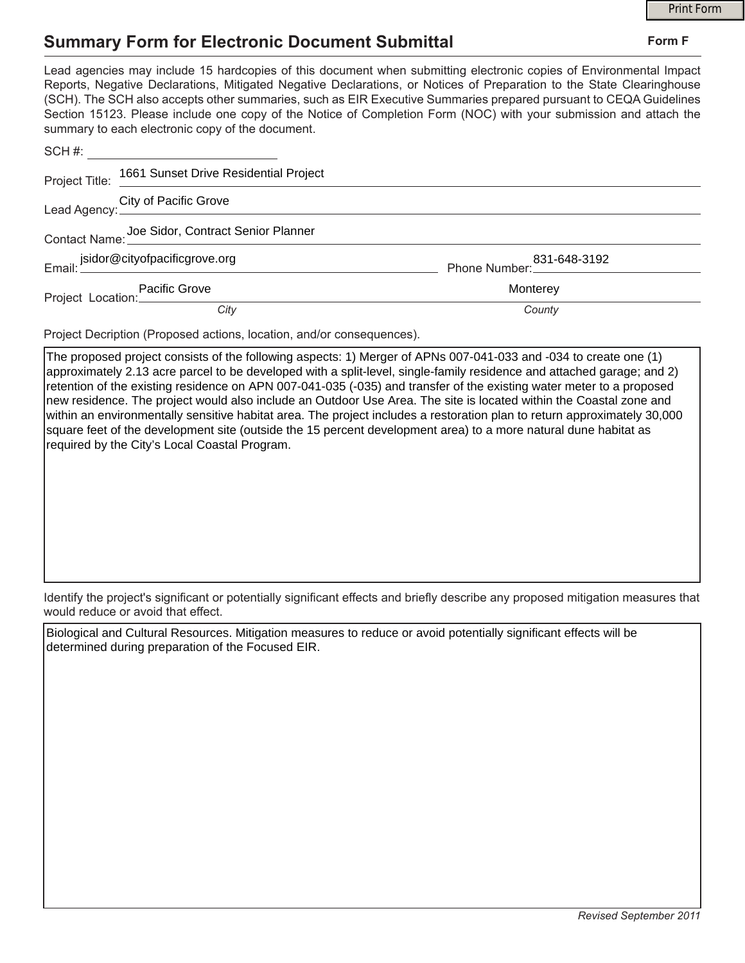## **Summary Form for Electronic Document Submittal**

|                                                       |                                                                                                                                                                                                                                                                                                                                                                                                                                                                                       | <b>Print Form</b> |
|-------------------------------------------------------|---------------------------------------------------------------------------------------------------------------------------------------------------------------------------------------------------------------------------------------------------------------------------------------------------------------------------------------------------------------------------------------------------------------------------------------------------------------------------------------|-------------------|
| <b>Summary Form for Electronic Document Submittal</b> |                                                                                                                                                                                                                                                                                                                                                                                                                                                                                       | Form F            |
| summary to each electronic copy of the document.      | Lead agencies may include 15 hardcopies of this document when submitting electronic copies of Environmental Impact<br>Reports, Negative Declarations, Mitigated Negative Declarations, or Notices of Preparation to the State Clearinghouse<br>(SCH). The SCH also accepts other summaries, such as EIR Executive Summaries prepared pursuant to CEQA Guidelines<br>Section 15123. Please include one copy of the Notice of Completion Form (NOC) with your submission and attach the |                   |
|                                                       |                                                                                                                                                                                                                                                                                                                                                                                                                                                                                       |                   |
| Project Title: 1661 Sunset Drive Residential Project  |                                                                                                                                                                                                                                                                                                                                                                                                                                                                                       |                   |
| Lead Agency: City of Pacific Grove                    |                                                                                                                                                                                                                                                                                                                                                                                                                                                                                       |                   |
| Contact Name: Joe Sidor, Contract Senior Planner      |                                                                                                                                                                                                                                                                                                                                                                                                                                                                                       |                   |
|                                                       | 831-648-3192<br>Phone Number: 2001-040-0192                                                                                                                                                                                                                                                                                                                                                                                                                                           |                   |
|                                                       | Monterey                                                                                                                                                                                                                                                                                                                                                                                                                                                                              |                   |
| City                                                  | County                                                                                                                                                                                                                                                                                                                                                                                                                                                                                |                   |

Project Decription (Proposed actions, location, and/or consequences).

The proposed project consists of the following aspects: 1) Merger of APNs 007-041-033 and -034 to create one (1) approximately 2.13 acre parcel to be developed with a split-level, single-family residence and attached garage; and 2) retention of the existing residence on APN 007-041-035 (-035) and transfer of the existing water meter to a proposed new residence. The project would also include an Outdoor Use Area. The site is located within the Coastal zone and within an environmentally sensitive habitat area. The project includes a restoration plan to return approximately 30,000 square feet of the development site (outside the 15 percent development area) to a more natural dune habitat as required by the City's Local Coastal Program.

Identify the project's significant or potentially significant effects and briefly describe any proposed mitigation measures that would reduce or avoid that effect.

Biological and Cultural Resources. Mitigation measures to reduce or avoid potentially significant effects will be determined during preparation of the Focused EIR.